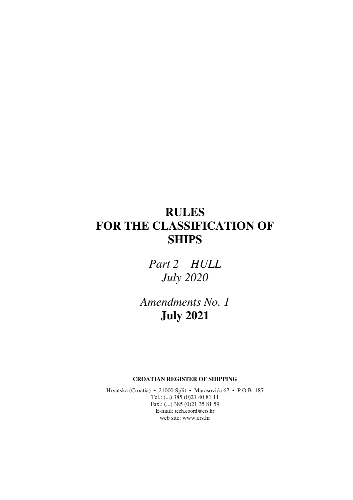# **RULES FOR THE CLASSIFICATION OF SHIPS**

*Part 2 – HULL July 2020* 

*Amendments No. 1*  **July 2021** 

**CROATIAN REGISTER OF SHIPPING** 

Hrvatska (Croatia) • 21000 Split • Marasovića 67 • P.O.B. 187 Tel.: (...) 385 (0)21 40 81 11 Fax.: (...) 385 (0)21 35 81 59 E-mail: tech.coord@crs.hr web site: www.crs.hr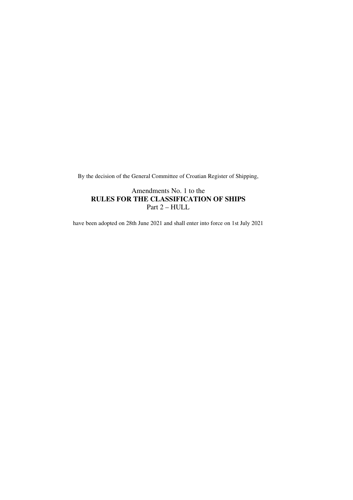By the decision of the General Committee of Croatian Register of Shipping,

### Amendments No. 1 to the **RULES FOR THE CLASSIFICATION OF SHIPS**  Part 2 – HULL

have been adopted on 28th June 2021 and shall enter into force on 1st July 2021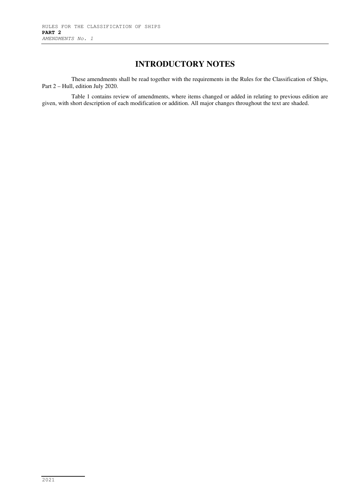## **INTRODUCTORY NOTES**

These amendments shall be read together with the requirements in the Rules for the Classification of Ships, Part 2 – Hull, edition July 2020.

Table 1 contains review of amendments, where items changed or added in relating to previous edition are given, with short description of each modification or addition. All major changes throughout the text are shaded.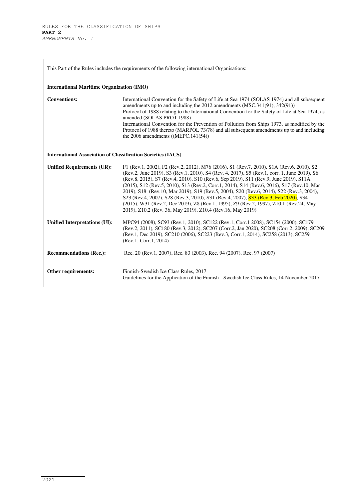| This Part of the Rules includes the requirements of the following international Organisations: |                                                                                                                                                                                                                                                                                                                                                                                                                                                                                                                                                                                                                                                                                                                      |  |
|------------------------------------------------------------------------------------------------|----------------------------------------------------------------------------------------------------------------------------------------------------------------------------------------------------------------------------------------------------------------------------------------------------------------------------------------------------------------------------------------------------------------------------------------------------------------------------------------------------------------------------------------------------------------------------------------------------------------------------------------------------------------------------------------------------------------------|--|
| <b>International Maritime Organization (IMO)</b>                                               |                                                                                                                                                                                                                                                                                                                                                                                                                                                                                                                                                                                                                                                                                                                      |  |
| <b>Conventions:</b>                                                                            | International Convention for the Safety of Life at Sea 1974 (SOLAS 1974) and all subsequent<br>amendments up to and including the 2012 amendments (MSC.341(91), 342(91))<br>Protocol of 1988 relating to the International Convention for the Safety of Life at Sea 1974, as<br>amended (SOLAS PROT 1988)<br>International Convention for the Prevention of Pollution from Ships 1973, as modified by the<br>Protocol of 1988 thereto (MARPOL 73/78) and all subsequent amendments up to and including<br>the 2006 amendments $((MEPC.141(54))$                                                                                                                                                                      |  |
| <b>International Association of Classification Societies (IACS)</b>                            |                                                                                                                                                                                                                                                                                                                                                                                                                                                                                                                                                                                                                                                                                                                      |  |
| <b>Unified Requirements (UR):</b>                                                              | F1 (Rev.1, 2002), F2 (Rev.2, 2012), M76 (2016), S1 (Rev.7, 2010), S1A (Rev.6, 2010), S2<br>(Rev.2, June 2019), S3 (Rev.1, 2010), S4 (Rev. 4, 2017), S5 (Rev.1, corr. 1, June 2019), S6<br>(Rev.8, 2015), S7 (Rev.4, 2010), S10 (Rev.6, Sep 2019), S11 (Rev.9, June 2019), S11A<br>(2015), S12 (Rev.5, 2010), S13 (Rev.2, Corr.1, 2014), S14 (Rev.6, 2016), S17 (Rev.10, Mar<br>2019), S18 (Rev.10, Mar 2019), S19 (Rev.5, 2004), S20 (Rev.6, 2014), S22 (Rev.3, 2004),<br>S23 (Rev.4, 2007), S28 (Rev.3, 2010), S31 (Rev.4, 2007), S33 (Rev.3, Feb 2020), S34<br>(2015), W31 (Rev.2, Dec 2019), Z8 (Rev.1, 1995), Z9 (Rev.2, 1997), Z10.1 (Rev.24, May<br>2019), Z10.2 (Rev. 36, May 2019), Z10.4 (Rev.16, May 2019) |  |
| Unified Interpretations (UI):                                                                  | MPC94 (2008), SC93 (Rev.1, 2010), SC122 (Rev.1, Corr.1 2008), SC154 (2000), SC179<br>(Rev.2, 2011), SC180 (Rev.3, 2012), SC207 (Corr.2, Jan 2020), SC208 (Corr.2, 2009), SC209<br>(Rev.1, Dec 2019), SC210 (2006), SC223 (Rev.3, Corr.1, 2014), SC258 (2013), SC259<br>(Rev.1, Corr.1, 2014)                                                                                                                                                                                                                                                                                                                                                                                                                         |  |
| <b>Recommendations (Rec.):</b>                                                                 | Rec. 20 (Rev.1, 2007), Rec. 83 (2003), Rec. 94 (2007), Rec. 97 (2007)                                                                                                                                                                                                                                                                                                                                                                                                                                                                                                                                                                                                                                                |  |
| Other requirements:                                                                            | Finnish-Swedish Ice Class Rules, 2017<br>Guidelines for the Application of the Finnish - Swedish Ice Class Rules, 14 November 2017                                                                                                                                                                                                                                                                                                                                                                                                                                                                                                                                                                                   |  |

٠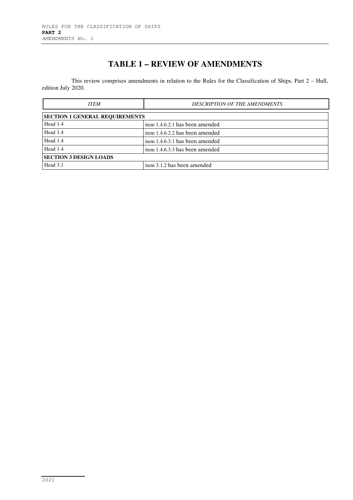# **TABLE 1 – REVIEW OF AMENDMENTS**

This review comprises amendments in relation to the Rules for the Classification of Ships, Part 2 – Hull, edition July 2020.

| <b>ITEM</b>                           | <b>DESCRIPTION OF THE AMENDMENTS</b> |  |
|---------------------------------------|--------------------------------------|--|
| <b>SECTION 1 GENERAL REQUIREMENTS</b> |                                      |  |
| Head 1.4                              | item 1.4.6.2.1 has been amended      |  |
| Head 1.4                              | item 1.4.6.2.2 has been amended      |  |
| Head 1.4                              | item 1.4.6.3.1 has been amended      |  |
| Head 1.4                              | item 1.4.6.3.3 has been amended      |  |
| <b>SECTION 3 DESIGN LOADS</b>         |                                      |  |
| Head 3.1                              | item 3.1.2 has been amended          |  |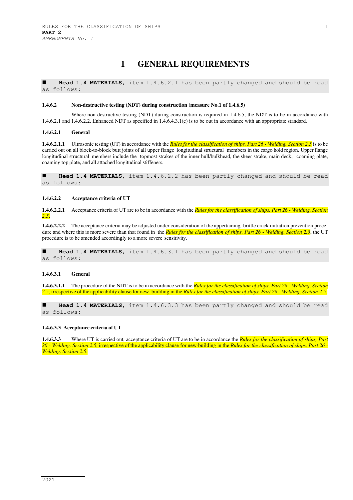### **1 GENERAL REQUIREMENTS**

 **Head 1.4 MATERIALS,** item 1.4.6.2.1 has been partly changed and should be read as follows:

#### **1.4.6.2 Non-destructive testing (NDT) during construction (measure No.1 of 1.4.6.5)**

Where non-destructive testing (NDT) during construction is required in 1.4.6.5, the NDT is to be in accordance with 1.4.6.2.1 and 1.4.6.2.2. Enhanced NDT as specified in 1.4.6.4.3.1(e) is to be out in accordance with an appropriate standard.

#### **1.4.6.2.1 General**

**1.4.6.2.1.1** Ultrasonic testing (UT) in accordance with the *Rules for the classification of ships, Part 26 - Welding, Section 2.5* is to be carried out on all block-to-block butt joints of all upper flange longitudinal structural members in the cargo hold region. Upper flange longitudinal structural members include the topmost strakes of the inner hull/bulkhead, the sheer strake, main deck, coaming plate, coaming top plate, and all attached longitudinal stiffeners.

 **Head 1.4 MATERIALS,** item 1.4.6.2.2 has been partly changed and should be read as follows:

#### **1.4.6.2.2 Acceptance criteria of UT**

**1.4.6.2.2.1** Acceptance criteria of UT are to be in accordance with the *Rules for the classification of ships, Part 26 - Welding, Section 2.5*.

**1.4.6.2.2.2** The acceptance criteria may be adjusted under consideration of the appertaining brittle crack initiation prevention procedure and where this is more severe than that found in the *Rules for the classification of ships, Part 26 - Welding, Section 2.5*, the UT procedure is to be amended accordingly to a more severe sensitivity.

 **Head 1.4 MATERIALS,** item 1.4.6.3.1 has been partly changed and should be read as follows:

#### **1.4.6.3.1 General**

**1.4.6.3.1.1** The procedure of the NDT is to be in accordance with the *Rules for the classification of ships, Part 26 - Welding, Section 2.5*, irrespective of the applicability clause for new- building in the *Rules for the classification of ships, Part 26 - Welding, Section 2.5*.

 **Head 1.4 MATERIALS,** item 1.4.6.3.3 has been partly changed and should be read as follows:

#### **1.4.6.3.3 Acceptance criteria of UT**

**1.4.6.3.3** Where UT is carried out, acceptance criteria of UT are to be in accordance the *Rules for the classification of ships, Part 26 - Welding, Section 2.5*, irrespective of the applicability clause for new-building in the *Rules for the classification of ships, Part 26 - Welding, Section 2.5*.